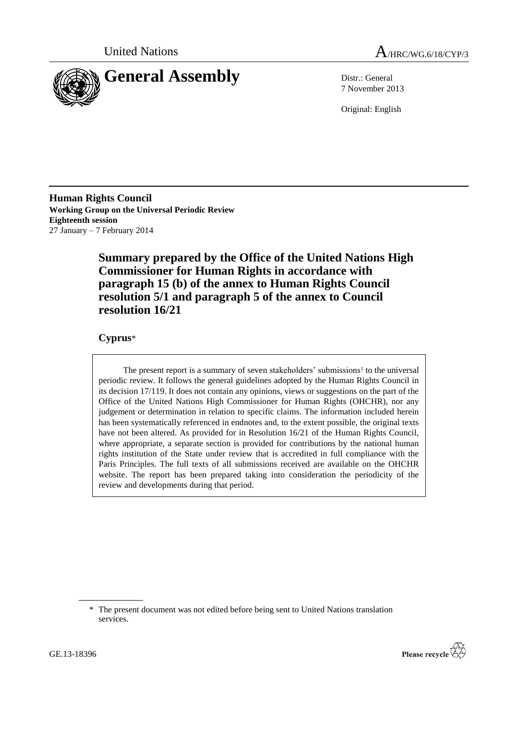



7 November 2013

Original: English

**Human Rights Council Working Group on the Universal Periodic Review Eighteenth session** 27 January – 7 February 2014

> **Summary prepared by the Office of the United Nations High Commissioner for Human Rights in accordance with paragraph 15 (b) of the annex to Human Rights Council resolution 5/1 and paragraph 5 of the annex to Council resolution 16/21**

# **Cyprus**\*

The present report is a summary of seven stakeholders' submissions<sup>1</sup> to the universal periodic review. It follows the general guidelines adopted by the Human Rights Council in its decision 17/119. It does not contain any opinions, views or suggestions on the part of the Office of the United Nations High Commissioner for Human Rights (OHCHR), nor any judgement or determination in relation to specific claims. The information included herein has been systematically referenced in endnotes and, to the extent possible, the original texts have not been altered. As provided for in Resolution 16/21 of the Human Rights Council, where appropriate, a separate section is provided for contributions by the national human rights institution of the State under review that is accredited in full compliance with the Paris Principles. The full texts of all submissions received are available on the OHCHR website. The report has been prepared taking into consideration the periodicity of the review and developments during that period.



<sup>\*</sup> The present document was not edited before being sent to United Nations translation services.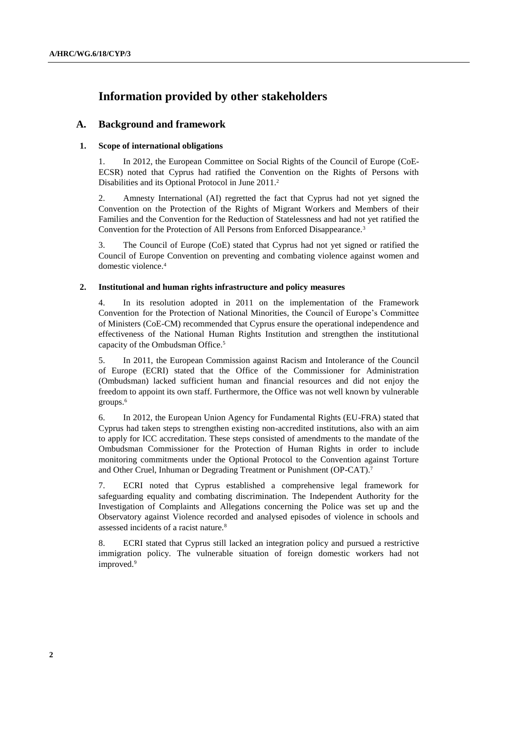# **Information provided by other stakeholders**

# **A. Background and framework**

# **1. Scope of international obligations**

1. In 2012, the European Committee on Social Rights of the Council of Europe (CoE-ECSR) noted that Cyprus had ratified the Convention on the Rights of Persons with Disabilities and its Optional Protocol in June 2011.<sup>2</sup>

2. Amnesty International (AI) regretted the fact that Cyprus had not yet signed the Convention on the Protection of the Rights of Migrant Workers and Members of their Families and the Convention for the Reduction of Statelessness and had not yet ratified the Convention for the Protection of All Persons from Enforced Disappearance.<sup>3</sup>

3. The Council of Europe (CoE) stated that Cyprus had not yet signed or ratified the Council of Europe Convention on preventing and combating violence against women and domestic violence.<sup>4</sup>

# **2. Institutional and human rights infrastructure and policy measures**

4. In its resolution adopted in 2011 on the implementation of the Framework Convention for the Protection of National Minorities, the Council of Europe's Committee of Ministers (CoE-CM) recommended that Cyprus ensure the operational independence and effectiveness of the National Human Rights Institution and strengthen the institutional capacity of the Ombudsman Office.<sup>5</sup>

5. In 2011, the European Commission against Racism and Intolerance of the Council of Europe (ECRI) stated that the Office of the Commissioner for Administration (Ombudsman) lacked sufficient human and financial resources and did not enjoy the freedom to appoint its own staff. Furthermore, the Office was not well known by vulnerable groups.<sup>6</sup>

6. In 2012, the European Union Agency for Fundamental Rights (EU-FRA) stated that Cyprus had taken steps to strengthen existing non-accredited institutions, also with an aim to apply for ICC accreditation. These steps consisted of amendments to the mandate of the Ombudsman Commissioner for the Protection of Human Rights in order to include monitoring commitments under the Optional Protocol to the Convention against Torture and Other Cruel, Inhuman or Degrading Treatment or Punishment (OP-CAT). 7

7. ECRI noted that Cyprus established a comprehensive legal framework for safeguarding equality and combating discrimination. The Independent Authority for the Investigation of Complaints and Allegations concerning the Police was set up and the Observatory against Violence recorded and analysed episodes of violence in schools and assessed incidents of a racist nature.<sup>8</sup>

8. ECRI stated that Cyprus still lacked an integration policy and pursued a restrictive immigration policy. The vulnerable situation of foreign domestic workers had not improved.<sup>9</sup>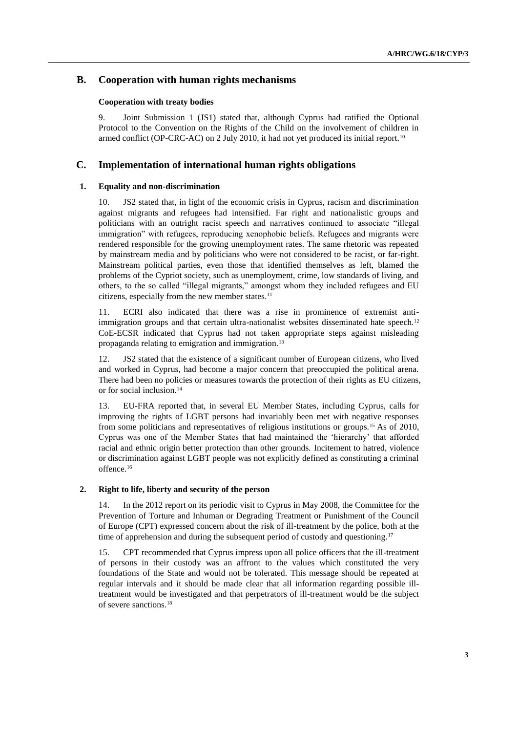# **B. Cooperation with human rights mechanisms**

# **Cooperation with treaty bodies**

9. Joint Submission 1 (JS1) stated that, although Cyprus had ratified the Optional Protocol to the Convention on the Rights of the Child on the involvement of children in armed conflict (OP-CRC-AC) on 2 July 2010, it had not yet produced its initial report.<sup>10</sup>

# **C. Implementation of international human rights obligations**

# **1. Equality and non-discrimination**

10. JS2 stated that, in light of the economic crisis in Cyprus, racism and discrimination against migrants and refugees had intensified. Far right and nationalistic groups and politicians with an outright racist speech and narratives continued to associate "illegal immigration" with refugees, reproducing xenophobic beliefs. Refugees and migrants were rendered responsible for the growing unemployment rates. The same rhetoric was repeated by mainstream media and by politicians who were not considered to be racist, or far-right. Mainstream political parties, even those that identified themselves as left, blamed the problems of the Cypriot society, such as unemployment, crime, low standards of living, and others, to the so called "illegal migrants," amongst whom they included refugees and EU citizens, especially from the new member states.<sup>11</sup>

11. ECRI also indicated that there was a rise in prominence of extremist antiimmigration groups and that certain ultra-nationalist websites disseminated hate speech.<sup>12</sup> CoE-ECSR indicated that Cyprus had not taken appropriate steps against misleading propaganda relating to emigration and immigration.<sup>13</sup>

12. JS2 stated that the existence of a significant number of European citizens, who lived and worked in Cyprus, had become a major concern that preoccupied the political arena. There had been no policies or measures towards the protection of their rights as EU citizens, or for social inclusion.<sup>14</sup>

13. EU-FRA reported that, in several EU Member States, including Cyprus, calls for improving the rights of LGBT persons had invariably been met with negative responses from some politicians and representatives of religious institutions or groups.<sup>15</sup> As of 2010, Cyprus was one of the Member States that had maintained the 'hierarchy' that afforded racial and ethnic origin better protection than other grounds. Incitement to hatred, violence or discrimination against LGBT people was not explicitly defined as constituting a criminal offence.<sup>16</sup>

# **2. Right to life, liberty and security of the person**

14. In the 2012 report on its periodic visit to Cyprus in May 2008, the Committee for the Prevention of Torture and Inhuman or Degrading Treatment or Punishment of the Council of Europe (CPT) expressed concern about the risk of ill-treatment by the police, both at the time of apprehension and during the subsequent period of custody and questioning.<sup>17</sup>

15. CPT recommended that Cyprus impress upon all police officers that the ill-treatment of persons in their custody was an affront to the values which constituted the very foundations of the State and would not be tolerated. This message should be repeated at regular intervals and it should be made clear that all information regarding possible illtreatment would be investigated and that perpetrators of ill-treatment would be the subject of severe sanctions.18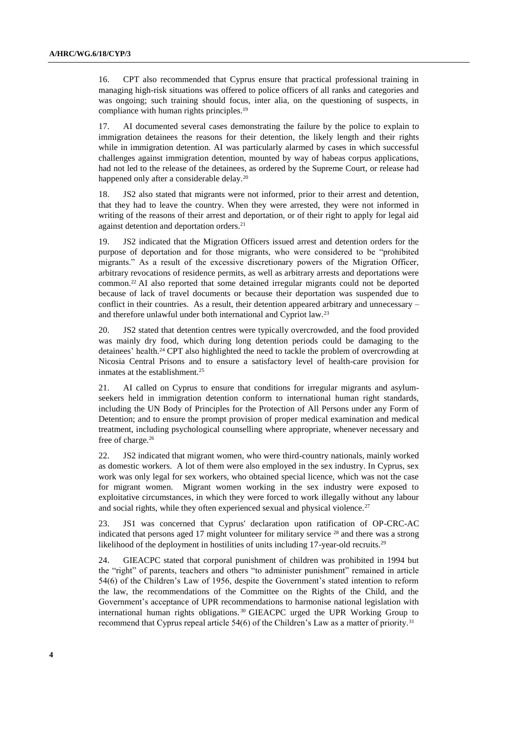16. CPT also recommended that Cyprus ensure that practical professional training in managing high-risk situations was offered to police officers of all ranks and categories and was ongoing; such training should focus, inter alia, on the questioning of suspects, in compliance with human rights principles.<sup>19</sup>

17. AI documented several cases demonstrating the failure by the police to explain to immigration detainees the reasons for their detention, the likely length and their rights while in immigration detention. AI was particularly alarmed by cases in which successful challenges against immigration detention, mounted by way of habeas corpus applications, had not led to the release of the detainees, as ordered by the Supreme Court, or release had happened only after a considerable delay.<sup>20</sup>

18. JS2 also stated that migrants were not informed, prior to their arrest and detention, that they had to leave the country. When they were arrested, they were not informed in writing of the reasons of their arrest and deportation, or of their right to apply for legal aid against detention and deportation orders.<sup>21</sup>

19. JS2 indicated that the Migration Officers issued arrest and detention orders for the purpose of deportation and for those migrants, who were considered to be "prohibited migrants." As a result of the excessive discretionary powers of the Migration Officer, arbitrary revocations of residence permits, as well as arbitrary arrests and deportations were common.<sup>22</sup> AI also reported that some detained irregular migrants could not be deported because of lack of travel documents or because their deportation was suspended due to conflict in their countries. As a result, their detention appeared arbitrary and unnecessary – and therefore unlawful under both international and Cypriot law.<sup>23</sup>

20. JS2 stated that detention centres were typically overcrowded, and the food provided was mainly dry food, which during long detention periods could be damaging to the detainees' health.<sup>24</sup> CPT also highlighted the need to tackle the problem of overcrowding at Nicosia Central Prisons and to ensure a satisfactory level of health-care provision for inmates at the establishment.<sup>25</sup>

21. AI called on Cyprus to ensure that conditions for irregular migrants and asylumseekers held in immigration detention conform to international human right standards, including the UN Body of Principles for the Protection of All Persons under any Form of Detention; and to ensure the prompt provision of proper medical examination and medical treatment, including psychological counselling where appropriate, whenever necessary and free of charge.<sup>26</sup>

22. JS2 indicated that migrant women, who were third-country nationals, mainly worked as domestic workers. A lot of them were also employed in the sex industry. In Cyprus, sex work was only legal for sex workers, who obtained special licence, which was not the case for migrant women. Migrant women working in the sex industry were exposed to exploitative circumstances, in which they were forced to work illegally without any labour and social rights, while they often experienced sexual and physical violence.<sup>27</sup>

23. JS1 was concerned that Cyprus' declaration upon ratification of OP-CRC-AC indicated that persons aged 17 might volunteer for military service  $28$  and there was a strong likelihood of the deployment in hostilities of units including 17-year-old recruits.<sup>29</sup>

24. GIEACPC stated that corporal punishment of children was prohibited in 1994 but the "right" of parents, teachers and others "to administer punishment" remained in article 54(6) of the Children's Law of 1956, despite the Government's stated intention to reform the law, the recommendations of the Committee on the Rights of the Child, and the Government's acceptance of UPR recommendations to harmonise national legislation with international human rights obligations. <sup>30</sup> GIEACPC urged the UPR Working Group to recommend that Cyprus repeal article 54(6) of the Children's Law as a matter of priority.<sup>31</sup>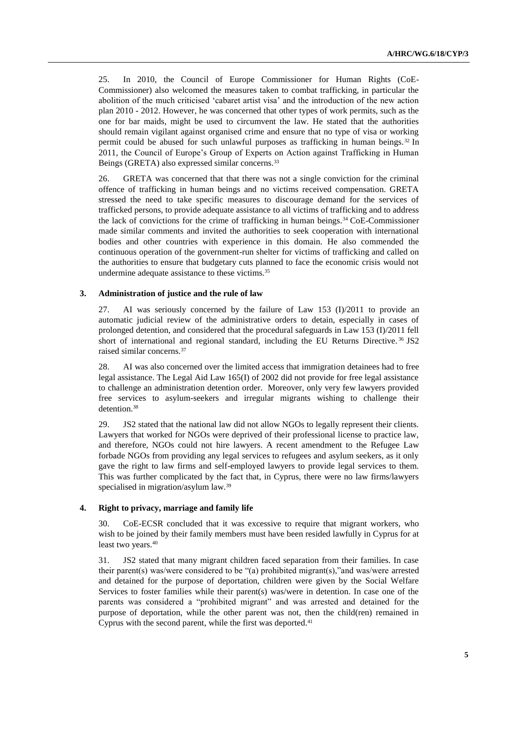25. In 2010, the Council of Europe Commissioner for Human Rights (CoE-Commissioner) also welcomed the measures taken to combat trafficking, in particular the abolition of the much criticised 'cabaret artist visa' and the introduction of the new action plan 2010 - 2012. However, he was concerned that other types of work permits, such as the one for bar maids, might be used to circumvent the law. He stated that the authorities should remain vigilant against organised crime and ensure that no type of visa or working permit could be abused for such unlawful purposes as trafficking in human beings. <sup>32</sup> In 2011, the Council of Europe's Group of Experts on Action against Trafficking in Human Beings (GRETA) also expressed similar concerns.<sup>33</sup>

26. GRETA was concerned that that there was not a single conviction for the criminal offence of trafficking in human beings and no victims received compensation. GRETA stressed the need to take specific measures to discourage demand for the services of trafficked persons, to provide adequate assistance to all victims of trafficking and to address the lack of convictions for the crime of trafficking in human beings.<sup>34</sup> CoE-Commissioner made similar comments and invited the authorities to seek cooperation with international bodies and other countries with experience in this domain. He also commended the continuous operation of the government-run shelter for victims of trafficking and called on the authorities to ensure that budgetary cuts planned to face the economic crisis would not undermine adequate assistance to these victims.<sup>35</sup>

## **3. Administration of justice and the rule of law**

27. AI was seriously concerned by the failure of Law 153 (I)/2011 to provide an automatic judicial review of the administrative orders to detain, especially in cases of prolonged detention, and considered that the procedural safeguards in Law 153 (I)/2011 fell short of international and regional standard, including the EU Returns Directive.<sup>36</sup> JS2 raised similar concerns.<sup>37</sup>

28. AI was also concerned over the limited access that immigration detainees had to free legal assistance. The Legal Aid Law 165(I) of 2002 did not provide for free legal assistance to challenge an administration detention order. Moreover, only very few lawyers provided free services to asylum-seekers and irregular migrants wishing to challenge their detention.<sup>38</sup>

29. JS2 stated that the national law did not allow NGOs to legally represent their clients. Lawyers that worked for NGOs were deprived of their professional license to practice law, and therefore, NGOs could not hire lawyers. A recent amendment to the Refugee Law forbade NGOs from providing any legal services to refugees and asylum seekers, as it only gave the right to law firms and self-employed lawyers to provide legal services to them. This was further complicated by the fact that, in Cyprus, there were no law firms/lawyers specialised in migration/asylum law.<sup>39</sup>

# **4. Right to privacy, marriage and family life**

30. CoE-ECSR concluded that it was excessive to require that migrant workers, who wish to be joined by their family members must have been resided lawfully in Cyprus for at least two years.<sup>40</sup>

31. JS2 stated that many migrant children faced separation from their families. In case their parent(s) was/were considered to be "(a) prohibited migrant(s),"and was/were arrested and detained for the purpose of deportation, children were given by the Social Welfare Services to foster families while their parent(s) was/were in detention. In case one of the parents was considered a "prohibited migrant" and was arrested and detained for the purpose of deportation, while the other parent was not, then the child(ren) remained in Cyprus with the second parent, while the first was deported.<sup>41</sup>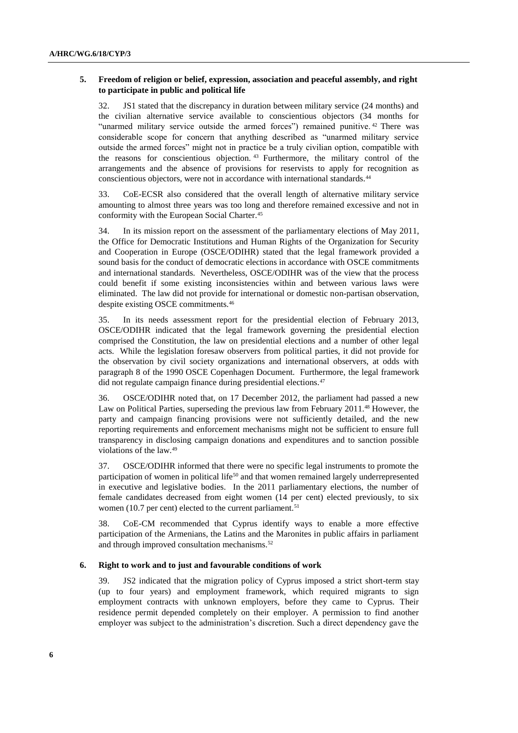# **5. Freedom of religion or belief, expression, association and peaceful assembly, and right to participate in public and political life**

32. JS1 stated that the discrepancy in duration between military service (24 months) and the civilian alternative service available to conscientious objectors (34 months for "unarmed military service outside the armed forces") remained punitive. <sup>42</sup> There was considerable scope for concern that anything described as "unarmed military service outside the armed forces" might not in practice be a truly civilian option, compatible with the reasons for conscientious objection. <sup>43</sup> Furthermore, the military control of the arrangements and the absence of provisions for reservists to apply for recognition as conscientious objectors, were not in accordance with international standards.<sup>44</sup>

33. CoE-ECSR also considered that the overall length of alternative military service amounting to almost three years was too long and therefore remained excessive and not in conformity with the European Social Charter.<sup>45</sup>

34. In its mission report on the assessment of the parliamentary elections of May 2011, the Office for Democratic Institutions and Human Rights of the Organization for Security and Cooperation in Europe (OSCE/ODIHR) stated that the legal framework provided a sound basis for the conduct of democratic elections in accordance with OSCE commitments and international standards. Nevertheless, OSCE/ODIHR was of the view that the process could benefit if some existing inconsistencies within and between various laws were eliminated. The law did not provide for international or domestic non-partisan observation, despite existing OSCE commitments.<sup>46</sup>

35. In its needs assessment report for the presidential election of February 2013, OSCE/ODIHR indicated that the legal framework governing the presidential election comprised the Constitution, the law on presidential elections and a number of other legal acts. While the legislation foresaw observers from political parties, it did not provide for the observation by civil society organizations and international observers, at odds with paragraph 8 of the 1990 OSCE Copenhagen Document. Furthermore, the legal framework did not regulate campaign finance during presidential elections.<sup>47</sup>

36. OSCE/ODIHR noted that, on 17 December 2012, the parliament had passed a new Law on Political Parties, superseding the previous law from February 2011.<sup>48</sup> However, the party and campaign financing provisions were not sufficiently detailed, and the new reporting requirements and enforcement mechanisms might not be sufficient to ensure full transparency in disclosing campaign donations and expenditures and to sanction possible violations of the law.<sup>49</sup>

37. OSCE/ODIHR informed that there were no specific legal instruments to promote the participation of women in political life<sup>50</sup> and that women remained largely underrepresented in executive and legislative bodies. In the 2011 parliamentary elections, the number of female candidates decreased from eight women (14 per cent) elected previously, to six women (10.7 per cent) elected to the current parliament.<sup>51</sup>

38. CoE-CM recommended that Cyprus identify ways to enable a more effective participation of the Armenians, the Latins and the Maronites in public affairs in parliament and through improved consultation mechanisms.<sup>52</sup>

### **6. Right to work and to just and favourable conditions of work**

39. JS2 indicated that the migration policy of Cyprus imposed a strict short-term stay (up to four years) and employment framework, which required migrants to sign employment contracts with unknown employers, before they came to Cyprus. Their residence permit depended completely on their employer. A permission to find another employer was subject to the administration's discretion. Such a direct dependency gave the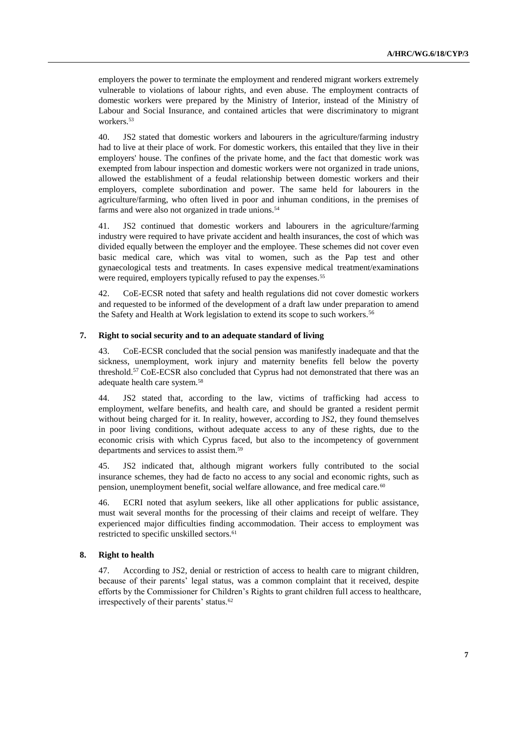employers the power to terminate the employment and rendered migrant workers extremely vulnerable to violations of labour rights, and even abuse. The employment contracts of domestic workers were prepared by the Ministry of Interior, instead of the Ministry of Labour and Social Insurance, and contained articles that were discriminatory to migrant workers.<sup>53</sup>

40. JS2 stated that domestic workers and labourers in the agriculture/farming industry had to live at their place of work. For domestic workers, this entailed that they live in their employers' house. The confines of the private home, and the fact that domestic work was exempted from labour inspection and domestic workers were not organized in trade unions, allowed the establishment of a feudal relationship between domestic workers and their employers, complete subordination and power. The same held for labourers in the agriculture/farming, who often lived in poor and inhuman conditions, in the premises of farms and were also not organized in trade unions.<sup>54</sup>

41. JS2 continued that domestic workers and labourers in the agriculture/farming industry were required to have private accident and health insurances, the cost of which was divided equally between the employer and the employee. These schemes did not cover even basic medical care, which was vital to women, such as the Pap test and other gynaecological tests and treatments. In cases expensive medical treatment/examinations were required, employers typically refused to pay the expenses.<sup>55</sup>

42. CoE-ECSR noted that safety and health regulations did not cover domestic workers and requested to be informed of the development of a draft law under preparation to amend the Safety and Health at Work legislation to extend its scope to such workers.<sup>56</sup>

### **7. Right to social security and to an adequate standard of living**

43. CoE-ECSR concluded that the social pension was manifestly inadequate and that the sickness, unemployment, work injury and maternity benefits fell below the poverty threshold.<sup>57</sup> CoE-ECSR also concluded that Cyprus had not demonstrated that there was an adequate health care system.<sup>58</sup>

44. JS2 stated that, according to the law, victims of trafficking had access to employment, welfare benefits, and health care, and should be granted a resident permit without being charged for it. In reality, however, according to JS2, they found themselves in poor living conditions, without adequate access to any of these rights, due to the economic crisis with which Cyprus faced, but also to the incompetency of government departments and services to assist them.<sup>59</sup>

45. JS2 indicated that, although migrant workers fully contributed to the social insurance schemes, they had de facto no access to any social and economic rights, such as pension, unemployment benefit, social welfare allowance, and free medical care.<sup>60</sup>

46. ECRI noted that asylum seekers, like all other applications for public assistance, must wait several months for the processing of their claims and receipt of welfare. They experienced major difficulties finding accommodation. Their access to employment was restricted to specific unskilled sectors.<sup>61</sup>

### **8. Right to health**

47. According to JS2, denial or restriction of access to health care to migrant children, because of their parents' legal status, was a common complaint that it received, despite efforts by the Commissioner for Children's Rights to grant children full access to healthcare, irrespectively of their parents' status.<sup>62</sup>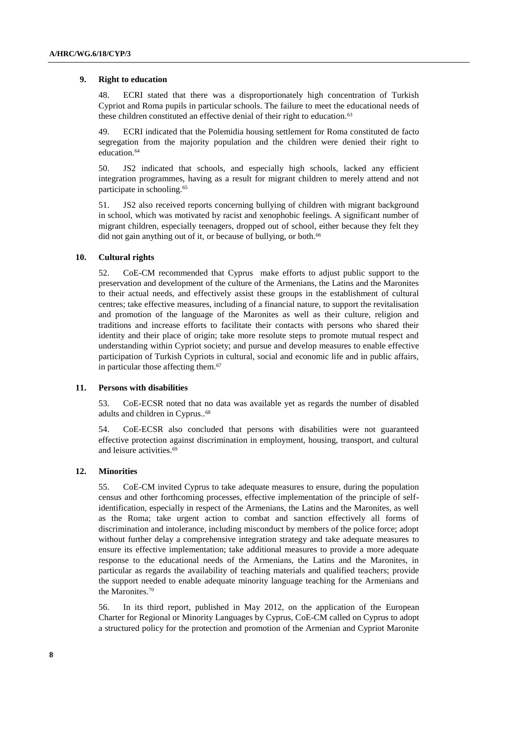### **9. Right to education**

48. ECRI stated that there was a disproportionately high concentration of Turkish Cypriot and Roma pupils in particular schools. The failure to meet the educational needs of these children constituted an effective denial of their right to education.<sup>63</sup>

49. ECRI indicated that the Polemidia housing settlement for Roma constituted de facto segregation from the majority population and the children were denied their right to education.<sup>64</sup>

50. JS2 indicated that schools, and especially high schools, lacked any efficient integration programmes, having as a result for migrant children to merely attend and not participate in schooling.<sup>65</sup>

51. JS2 also received reports concerning bullying of children with migrant background in school, which was motivated by racist and xenophobic feelings. A significant number of migrant children, especially teenagers, dropped out of school, either because they felt they did not gain anything out of it, or because of bullying, or both.<sup>66</sup>

#### **10. Cultural rights**

52. CoE-CM recommended that Cyprus make efforts to adjust public support to the preservation and development of the culture of the Armenians, the Latins and the Maronites to their actual needs, and effectively assist these groups in the establishment of cultural centres; take effective measures, including of a financial nature, to support the revitalisation and promotion of the language of the Maronites as well as their culture, religion and traditions and increase efforts to facilitate their contacts with persons who shared their identity and their place of origin; take more resolute steps to promote mutual respect and understanding within Cypriot society; and pursue and develop measures to enable effective participation of Turkish Cypriots in cultural, social and economic life and in public affairs, in particular those affecting them.<sup>67</sup>

## **11. Persons with disabilities**

53. CoE-ECSR noted that no data was available yet as regards the number of disabled adults and children in Cyprus..<sup>68</sup>

54. CoE-ECSR also concluded that persons with disabilities were not guaranteed effective protection against discrimination in employment, housing, transport, and cultural and leisure activities.<sup>69</sup>

#### **12. Minorities**

55. CoE-CM invited Cyprus to take adequate measures to ensure, during the population census and other forthcoming processes, effective implementation of the principle of selfidentification, especially in respect of the Armenians, the Latins and the Maronites, as well as the Roma; take urgent action to combat and sanction effectively all forms of discrimination and intolerance, including misconduct by members of the police force; adopt without further delay a comprehensive integration strategy and take adequate measures to ensure its effective implementation; take additional measures to provide a more adequate response to the educational needs of the Armenians, the Latins and the Maronites, in particular as regards the availability of teaching materials and qualified teachers; provide the support needed to enable adequate minority language teaching for the Armenians and the Maronites.<sup>70</sup>

56. In its third report, published in May 2012, on the application of the European Charter for Regional or Minority Languages by Cyprus, CoE-CM called on Cyprus to adopt a structured policy for the protection and promotion of the Armenian and Cypriot Maronite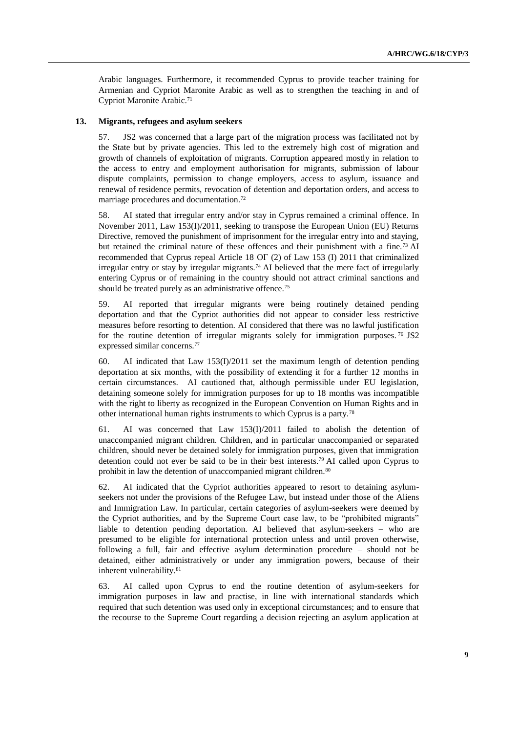Arabic languages. Furthermore, it recommended Cyprus to provide teacher training for Armenian and Cypriot Maronite Arabic as well as to strengthen the teaching in and of Cypriot Maronite Arabic.<sup>71</sup>

#### **13. Migrants, refugees and asylum seekers**

57. JS2 was concerned that a large part of the migration process was facilitated not by the State but by private agencies. This led to the extremely high cost of migration and growth of channels of exploitation of migrants. Corruption appeared mostly in relation to the access to entry and employment authorisation for migrants, submission of labour dispute complaints, permission to change employers, access to asylum, issuance and renewal of residence permits, revocation of detention and deportation orders, and access to marriage procedures and documentation.<sup>72</sup>

58. AI stated that irregular entry and/or stay in Cyprus remained a criminal offence. In November 2011, Law 153(I)/2011, seeking to transpose the European Union (EU) Returns Directive, removed the punishment of imprisonment for the irregular entry into and staying, but retained the criminal nature of these offences and their punishment with a fine.<sup>73</sup> AI recommended that Cyprus repeal Article 18 ΟΓ (2) of Law 153 (I) 2011 that criminalized irregular entry or stay by irregular migrants.<sup>74</sup> AI believed that the mere fact of irregularly entering Cyprus or of remaining in the country should not attract criminal sanctions and should be treated purely as an administrative offence.<sup>75</sup>

59. AI reported that irregular migrants were being routinely detained pending deportation and that the Cypriot authorities did not appear to consider less restrictive measures before resorting to detention. AI considered that there was no lawful justification for the routine detention of irregular migrants solely for immigration purposes.<sup>76</sup> JS2 expressed similar concerns.<sup>77</sup>

60. AI indicated that Law  $153(I)/2011$  set the maximum length of detention pending deportation at six months, with the possibility of extending it for a further 12 months in certain circumstances. AI cautioned that, although permissible under EU legislation, detaining someone solely for immigration purposes for up to 18 months was incompatible with the right to liberty as recognized in the European Convention on Human Rights and in other international human rights instruments to which Cyprus is a party.<sup>78</sup>

61. AI was concerned that Law  $153(I)/2011$  failed to abolish the detention of unaccompanied migrant children. Children, and in particular unaccompanied or separated children, should never be detained solely for immigration purposes, given that immigration detention could not ever be said to be in their best interests.<sup>79</sup> AI called upon Cyprus to prohibit in law the detention of unaccompanied migrant children.<sup>80</sup>

62. AI indicated that the Cypriot authorities appeared to resort to detaining asylumseekers not under the provisions of the Refugee Law, but instead under those of the Aliens and Immigration Law. In particular, certain categories of asylum-seekers were deemed by the Cypriot authorities, and by the Supreme Court case law, to be "prohibited migrants" liable to detention pending deportation. AI believed that asylum-seekers – who are presumed to be eligible for international protection unless and until proven otherwise, following a full, fair and effective asylum determination procedure – should not be detained, either administratively or under any immigration powers, because of their inherent vulnerability.<sup>81</sup>

63. AI called upon Cyprus to end the routine detention of asylum-seekers for immigration purposes in law and practise, in line with international standards which required that such detention was used only in exceptional circumstances; and to ensure that the recourse to the Supreme Court regarding a decision rejecting an asylum application at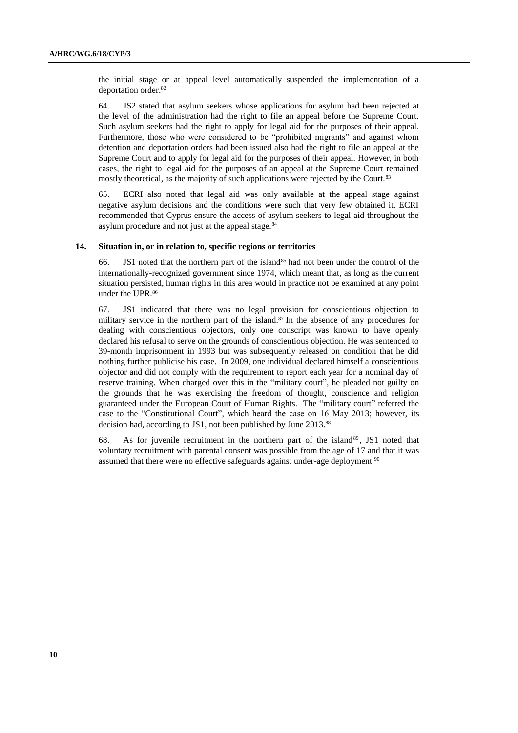the initial stage or at appeal level automatically suspended the implementation of a deportation order.<sup>82</sup>

64. JS2 stated that asylum seekers whose applications for asylum had been rejected at the level of the administration had the right to file an appeal before the Supreme Court. Such asylum seekers had the right to apply for legal aid for the purposes of their appeal. Furthermore, those who were considered to be "prohibited migrants" and against whom detention and deportation orders had been issued also had the right to file an appeal at the Supreme Court and to apply for legal aid for the purposes of their appeal. However, in both cases, the right to legal aid for the purposes of an appeal at the Supreme Court remained mostly theoretical, as the majority of such applications were rejected by the Court.<sup>83</sup>

65. ECRI also noted that legal aid was only available at the appeal stage against negative asylum decisions and the conditions were such that very few obtained it. ECRI recommended that Cyprus ensure the access of asylum seekers to legal aid throughout the asylum procedure and not just at the appeal stage.<sup>84</sup>

#### **14. Situation in, or in relation to, specific regions or territories**

66. JS1 noted that the northern part of the island<sup>85</sup> had not been under the control of the internationally-recognized government since 1974, which meant that, as long as the current situation persisted, human rights in this area would in practice not be examined at any point under the UPR.<sup>86</sup>

67. JS1 indicated that there was no legal provision for conscientious objection to military service in the northern part of the island.<sup>87</sup> In the absence of any procedures for dealing with conscientious objectors, only one conscript was known to have openly declared his refusal to serve on the grounds of conscientious objection. He was sentenced to 39-month imprisonment in 1993 but was subsequently released on condition that he did nothing further publicise his case. In 2009, one individual declared himself a conscientious objector and did not comply with the requirement to report each year for a nominal day of reserve training. When charged over this in the "military court", he pleaded not guilty on the grounds that he was exercising the freedom of thought, conscience and religion guaranteed under the European Court of Human Rights. The "military court" referred the case to the "Constitutional Court", which heard the case on 16 May 2013; however, its decision had, according to JS1, not been published by June 2013. 88

68. As for juvenile recruitment in the northern part of the island<sup>89</sup>, JS1 noted that voluntary recruitment with parental consent was possible from the age of 17 and that it was assumed that there were no effective safeguards against under-age deployment.<sup>90</sup>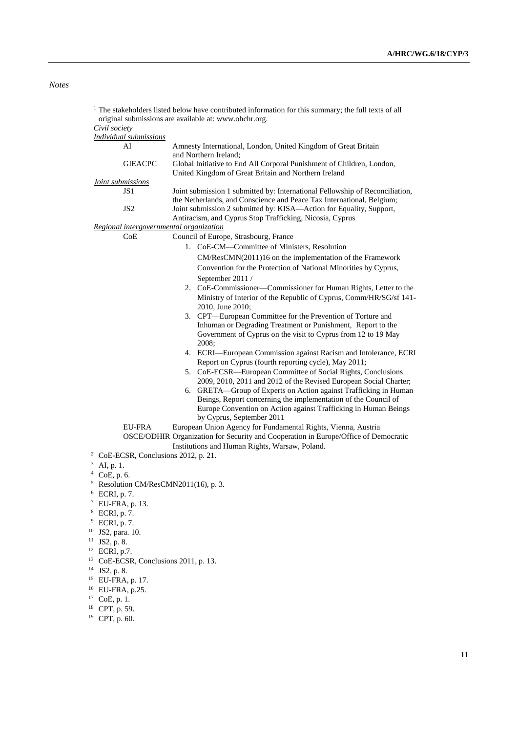# *Notes*

| <sup>1</sup> The stakeholders listed below have contributed information for this summary; the full texts of all<br>original submissions are available at: www.ohchr.org. |                                                  |                                                                                                                                                                                                                              |
|--------------------------------------------------------------------------------------------------------------------------------------------------------------------------|--------------------------------------------------|------------------------------------------------------------------------------------------------------------------------------------------------------------------------------------------------------------------------------|
| Civil society                                                                                                                                                            |                                                  |                                                                                                                                                                                                                              |
|                                                                                                                                                                          | <b>Individual submissions</b>                    |                                                                                                                                                                                                                              |
|                                                                                                                                                                          | AI                                               | Amnesty International, London, United Kingdom of Great Britain<br>and Northern Ireland:                                                                                                                                      |
|                                                                                                                                                                          | <b>GIEACPC</b>                                   | Global Initiative to End All Corporal Punishment of Children, London,<br>United Kingdom of Great Britain and Northern Ireland                                                                                                |
| Joint submissions                                                                                                                                                        |                                                  |                                                                                                                                                                                                                              |
|                                                                                                                                                                          | JS1<br>JS <sub>2</sub>                           | Joint submission 1 submitted by: International Fellowship of Reconciliation,<br>the Netherlands, and Conscience and Peace Tax International, Belgium;<br>Joint submission 2 submitted by: KISA-Action for Equality, Support, |
|                                                                                                                                                                          |                                                  | Antiracism, and Cyprus Stop Trafficking, Nicosia, Cyprus                                                                                                                                                                     |
| Regional intergovernmental organization                                                                                                                                  |                                                  |                                                                                                                                                                                                                              |
|                                                                                                                                                                          | CoE                                              | Council of Europe, Strasbourg, France                                                                                                                                                                                        |
|                                                                                                                                                                          |                                                  |                                                                                                                                                                                                                              |
|                                                                                                                                                                          |                                                  | 1. CoE-CM-Committee of Ministers, Resolution                                                                                                                                                                                 |
|                                                                                                                                                                          |                                                  | CM/ResCMN(2011)16 on the implementation of the Framework                                                                                                                                                                     |
|                                                                                                                                                                          |                                                  | Convention for the Protection of National Minorities by Cyprus,                                                                                                                                                              |
|                                                                                                                                                                          |                                                  | September 2011 /                                                                                                                                                                                                             |
|                                                                                                                                                                          |                                                  | 2. CoE-Commissioner-Commissioner for Human Rights, Letter to the                                                                                                                                                             |
|                                                                                                                                                                          |                                                  | Ministry of Interior of the Republic of Cyprus, Comm/HR/SG/sf 141-                                                                                                                                                           |
|                                                                                                                                                                          |                                                  | 2010, June 2010;                                                                                                                                                                                                             |
|                                                                                                                                                                          |                                                  | 3. CPT—European Committee for the Prevention of Torture and                                                                                                                                                                  |
|                                                                                                                                                                          |                                                  | Inhuman or Degrading Treatment or Punishment, Report to the                                                                                                                                                                  |
|                                                                                                                                                                          |                                                  | Government of Cyprus on the visit to Cyprus from 12 to 19 May<br>2008;                                                                                                                                                       |
|                                                                                                                                                                          |                                                  | 4. ECRI-European Commission against Racism and Intolerance, ECRI                                                                                                                                                             |
|                                                                                                                                                                          |                                                  | Report on Cyprus (fourth reporting cycle), May 2011;                                                                                                                                                                         |
|                                                                                                                                                                          |                                                  |                                                                                                                                                                                                                              |
|                                                                                                                                                                          |                                                  | 5. CoE-ECSR—European Committee of Social Rights, Conclusions                                                                                                                                                                 |
|                                                                                                                                                                          |                                                  | 2009, 2010, 2011 and 2012 of the Revised European Social Charter;                                                                                                                                                            |
|                                                                                                                                                                          |                                                  | 6. GRETA-Group of Experts on Action against Trafficking in Human                                                                                                                                                             |
|                                                                                                                                                                          |                                                  | Beings, Report concerning the implementation of the Council of                                                                                                                                                               |
|                                                                                                                                                                          |                                                  | Europe Convention on Action against Trafficking in Human Beings                                                                                                                                                              |
|                                                                                                                                                                          |                                                  | by Cyprus, September 2011                                                                                                                                                                                                    |
|                                                                                                                                                                          | EU-FRA                                           | European Union Agency for Fundamental Rights, Vienna, Austria                                                                                                                                                                |
|                                                                                                                                                                          |                                                  | OSCE/ODHIR Organization for Security and Cooperation in Europe/Office of Democratic                                                                                                                                          |
|                                                                                                                                                                          |                                                  | Institutions and Human Rights, Warsaw, Poland.                                                                                                                                                                               |
| 2                                                                                                                                                                        | CoE-ECSR, Conclusions 2012, p. 21.               |                                                                                                                                                                                                                              |
| 3<br>AI, p. 1.                                                                                                                                                           |                                                  |                                                                                                                                                                                                                              |
| $4$ CoE, p. 6.                                                                                                                                                           |                                                  |                                                                                                                                                                                                                              |
|                                                                                                                                                                          |                                                  |                                                                                                                                                                                                                              |
|                                                                                                                                                                          | <sup>5</sup> Resolution CM/ResCMN2011(16), p. 3. |                                                                                                                                                                                                                              |
| <sup>6</sup> ECRI, p. 7.                                                                                                                                                 |                                                  |                                                                                                                                                                                                                              |
| <sup>7</sup> EU-FRA, p. 13.                                                                                                                                              |                                                  |                                                                                                                                                                                                                              |
| ECRI, p. 7.                                                                                                                                                              |                                                  |                                                                                                                                                                                                                              |
| 9<br>ECRI, p. 7.                                                                                                                                                         |                                                  |                                                                                                                                                                                                                              |
| <sup>10</sup> JS2, para. 10.                                                                                                                                             |                                                  |                                                                                                                                                                                                                              |
| 11<br>JS2, p. 8.                                                                                                                                                         |                                                  |                                                                                                                                                                                                                              |
| $12$ ECRI, p.7.                                                                                                                                                          |                                                  |                                                                                                                                                                                                                              |
| <sup>13</sup> CoE-ECSR, Conclusions 2011, p. 13.                                                                                                                         |                                                  |                                                                                                                                                                                                                              |
| $14$ JS2, p. 8.                                                                                                                                                          |                                                  |                                                                                                                                                                                                                              |
| <sup>15</sup> EU-FRA, p. 17.                                                                                                                                             |                                                  |                                                                                                                                                                                                                              |
| <sup>16</sup> EU-FRA, p.25.                                                                                                                                              |                                                  |                                                                                                                                                                                                                              |
| $17$ CoE, p. 1.                                                                                                                                                          |                                                  |                                                                                                                                                                                                                              |
| <sup>18</sup> CPT, p. 59.                                                                                                                                                |                                                  |                                                                                                                                                                                                                              |

<sup>19</sup> CPT, p. 60.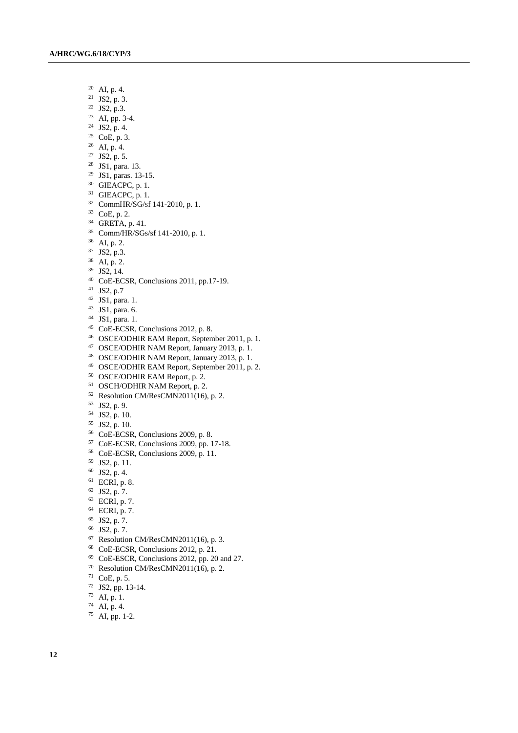- AI, p. 4.
- JS2, p. 3.
- JS2, p.3.
- AI, pp. 3-4.
- JS2, p. 4.
- CoE, p. 3.
- AI, p. 4.
- JS2, p. 5.
- JS1, para. 13.
- JS1, paras. 13-15.
- GIEACPC, p. 1.
- GIEACPC, p. 1.
- CommHR/SG/sf 141-2010, p. 1.
- CoE, p. 2.
- GRETA, p. 41.
- Comm/HR/SGs/sf 141-2010, p. 1.
- AI, p. 2.
- JS2, p.3.
- AI, p. 2.
- JS2, 14.
- CoE-ECSR, Conclusions 2011, pp.17-19.
- JS2, p.7
- JS1, para. 1.
- JS1, para. 6.
- JS1, para. 1.
- <sup>45</sup> CoE-ECSR, Conclusions 2012, p. 8.
- OSCE/ODHIR EAM Report, September 2011, p. 1.
- OSCE/ODHIR NAM Report, January 2013, p. 1.
- OSCE/ODHIR NAM Report, January 2013, p. 1.
- OSCE/ODHIR EAM Report, September 2011, p. 2.
- OSCE/ODHIR EAM Report, p. 2.
- OSCH/ODHIR NAM Report, p. 2.
- Resolution CM/ResCMN2011(16), p. 2.
- JS2, p. 9.
- JS2, p. 10.
- JS2, p. 10.
- CoE-ECSR, Conclusions 2009, p. 8.
- CoE-ECSR, Conclusions 2009, pp. 17-18.
- CoE-ECSR, Conclusions 2009, p. 11.
- JS2, p. 11.
- JS2, p. 4.
- ECRI, p. 8.
- JS2, p. 7.
- ECRI, p. 7.
- ECRI, p. 7.
- JS2, p. 7.
- JS2, p. 7.
- 
- Resolution CM/ResCMN2011(16), p. 3.
- CoE-ECSR, Conclusions 2012, p. 21.
- CoE-ESCR, Conclusions 2012, pp. 20 and 27.
- Resolution CM/ResCMN2011(16), p. 2.
- CoE, p. 5.
- JS2, pp. 13-14.
- AI, p. 1.
- AI, p. 4.
- AI, pp. 1-2.